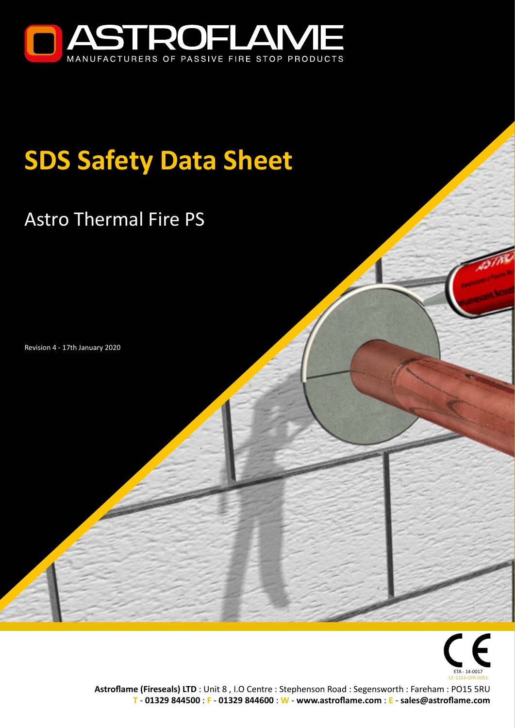

# **SDS Safety Data Sheet**

## Astro Thermal Fire PS

Revision 4 - 17th January 2020



**Astroflame (Fireseals) LTD** : Unit 8 , I.O Centre : Stephenson Road : Segensworth : Fareham : PO15 5RU **T** - **01329 844500** : **F** - **01329 844600** : **W** - **www.astroflame.com** : **E** - **sales@astroflame.com**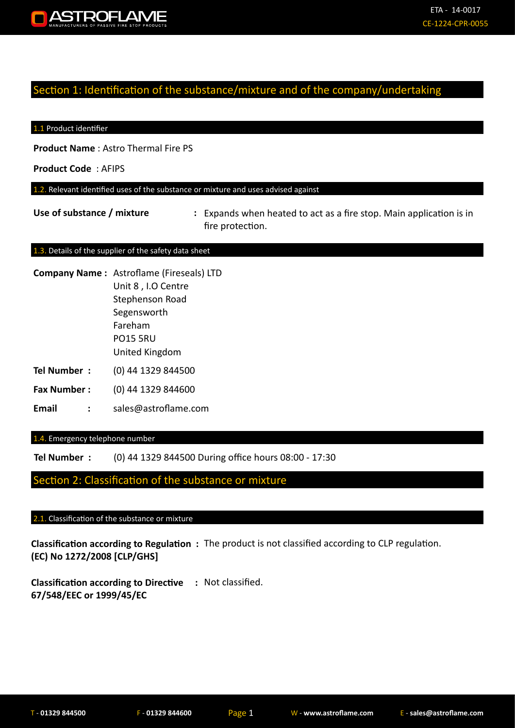

#### Section 1: Identification of the substance/mixture and of the company/undertaking

#### 1.1 Product identifier

**Product Name** : Astro Thermal Fire PS

**Product Code** : AFIPS

1.2. Relevant identified uses of the substance or mixture and uses advised against

Use of substance / mixture : Expands when heated to act as a fire stop. Main application is in fire protection.

#### 1.3. Details of the supplier of the safety data sheet

- **Company Name :** Astroflame (Fireseals) LTD
- Unit 8 , I.O Centre Stephenson Road Segensworth Fareham PO15 5RU United Kingdom
- **Tel Number :** (0) 44 1329 844500
- **Fax Number :** (0) 44 1329 844600
- **Email :** sales@astroflame.com

1.4. Emergency telephone number

**Tel Number :** (0) 44 1329 844500 During office hours 08:00 - 17:30

Section 2: Classification of the substance or mixture

#### 2.1. Classification of the substance or mixture

**Classification according to Regulation :**  The product is not classified according to CLP regulation. **(EC) No 1272/2008 [CLP/GHS]**

**Classification according to Directive :**  Not classified. **67/548/EEC or 1999/45/EC**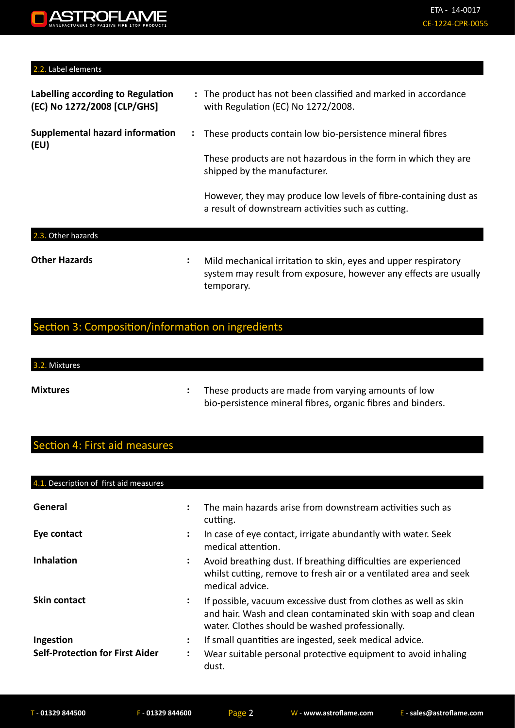#### 2.2. Label elements

| Labelling according to Regulation<br>(EC) No 1272/2008 [CLP/GHS] | : The product has not been classified and marked in accordance<br>with Regulation (EC) No 1272/2008.                   |
|------------------------------------------------------------------|------------------------------------------------------------------------------------------------------------------------|
| <b>Supplemental hazard information</b><br>(EU)                   | These products contain low bio-persistence mineral fibres<br>$\ddot{\cdot}$                                            |
|                                                                  | These products are not hazardous in the form in which they are<br>shipped by the manufacturer.                         |
|                                                                  | However, they may produce low levels of fibre-containing dust as<br>a result of downstream activities such as cutting. |
| 2.3.<br>Other hazards                                            |                                                                                                                        |

#### **Other Hazards :**

Mild mechanical irritation to skin, eyes and upper respiratory system may result from exposure, however any effects are usually temporary.

## Section 3: Composition/information on ingredients

## 3.2. Mixtures

**Mixtures :** 

These products are made from varying amounts of low bio-persistence mineral fibres, organic fibres and binders.

## Section 4: First aid measures

| 4.1. Description of first aid measures |                |                                                                                                                                                                                      |
|----------------------------------------|----------------|--------------------------------------------------------------------------------------------------------------------------------------------------------------------------------------|
| General                                | ÷              | The main hazards arise from downstream activities such as<br>cutting.                                                                                                                |
| Eye contact                            | ÷              | In case of eye contact, irrigate abundantly with water. Seek<br>medical attention.                                                                                                   |
| Inhalation                             | ÷              | Avoid breathing dust. If breathing difficulties are experienced<br>whilst cutting, remove to fresh air or a ventilated area and seek<br>medical advice.                              |
| <b>Skin contact</b>                    | ÷              | If possible, vacuum excessive dust from clothes as well as skin<br>and hair. Wash and clean contaminated skin with soap and clean<br>water. Clothes should be washed professionally. |
| Ingestion                              | ÷              | If small quantities are ingested, seek medical advice.                                                                                                                               |
| <b>Self-Protection for First Aider</b> | $\ddot{\cdot}$ | Wear suitable personal protective equipment to avoid inhaling<br>dust.                                                                                                               |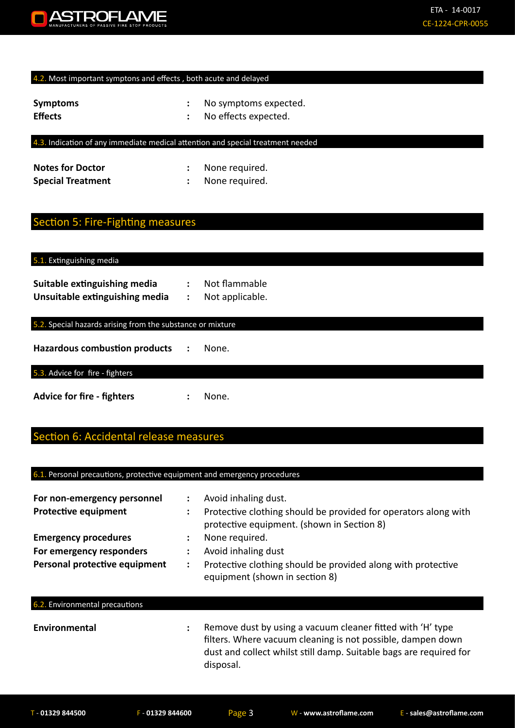

#### 4.2. Most important symptons and effects, both acute and delayed

| <b>Symptoms</b> | No symptoms expected. |
|-----------------|-----------------------|
| <b>Effects</b>  | No effects expected.  |

#### 4.3. Indication of any immediate medical attention and special treatment needed

| <b>Notes for Doctor</b>  | None required. |
|--------------------------|----------------|
| <b>Special Treatment</b> | None required. |

## Section 5: Fire-Fighting measures

#### 5.1. Extinguishing media

| Suitable extinguishing media   | Not flammable   |
|--------------------------------|-----------------|
| Unsuitable extinguishing media | Not applicable. |

#### 5.2. Special hazards arising from the substance or mixture

**Hazardous combustion products :** None.

#### 5.3. Advice for fire - fighters

Advice for fire - fighters : None.

### ection 6: Accidental release measures

#### 6.1. Personal precautions, protective equipment and emergency procedures

| For non-emergency personnel<br><b>Protective equipment</b> | ÷<br>÷ | Avoid inhaling dust.<br>Protective clothing should be provided for operators along with<br>protective equipment. (shown in Section 8) |
|------------------------------------------------------------|--------|---------------------------------------------------------------------------------------------------------------------------------------|
| <b>Emergency procedures</b><br>For emergency responders    | :      | None required.<br>Avoid inhaling dust                                                                                                 |
| Personal protective equipment                              | ÷      | Protective clothing should be provided along with protective<br>equipment (shown in section 8)                                        |
| 6.2. Environmental precautions                             |        |                                                                                                                                       |
| Environmental                                              | ÷      | Remove dust by using a vacuum cleaner fitted with 'H' type<br>filters. Where vacuum cleaning is not possible, dampen down             |

disposal.

dust and collect whilst still damp. Suitable bags are required for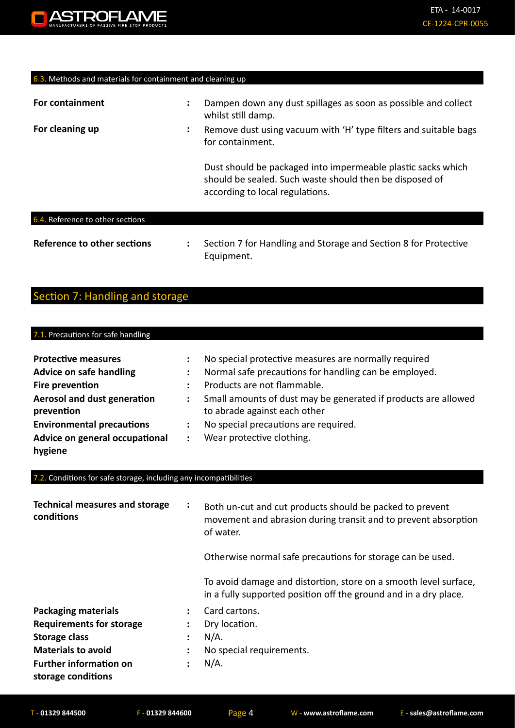#### 6.3. Methods and materials for containment and cleaning up

| For containment                  | $\bullet$ | Dampen down any dust spillages as soon as possible and collect<br>whilst still damp.                                                                       |
|----------------------------------|-----------|------------------------------------------------------------------------------------------------------------------------------------------------------------|
| For cleaning up                  | $\bullet$ | Remove dust using vacuum with 'H' type filters and suitable bags<br>for containment.                                                                       |
|                                  |           | Dust should be packaged into impermeable plastic sacks which<br>should be sealed. Such waste should then be disposed of<br>according to local regulations. |
| 6.4. Reference to other sections |           |                                                                                                                                                            |

| Reference to other sections | Section 7 for Handling and Storage and Section 8 for Protective |
|-----------------------------|-----------------------------------------------------------------|
|                             | Equipment.                                                      |

## Section 7: Handling and storage

#### 7.1. Precautions for safe handling **Protective measures : No special protective measures are normally required Advice on safe handling :** Normal safe precautions for handling can be employed. **Fire prevention :** Products are not flammable. **Aerosol and dust generation : prevention** Small amounts of dust may be generated if products are allowed to abrade against each other **Environmental precautions :** No special precautions are required. **Advice on general occupational :**  Wear protective clothing.

## 7.2. Conditions for safe storage, including any incompatibilities

| <b>Technical measures and storage</b><br>conditions | ÷ | Both un-cut and cut products should be packed to prevent<br>movement and abrasion during transit and to prevent absorption<br>of water.<br>Otherwise normal safe precautions for storage can be used. |
|-----------------------------------------------------|---|-------------------------------------------------------------------------------------------------------------------------------------------------------------------------------------------------------|
|                                                     |   | To avoid damage and distortion, store on a smooth level surface,<br>in a fully supported position off the ground and in a dry place.                                                                  |
| <b>Packaging materials</b>                          |   | Card cartons.                                                                                                                                                                                         |
| <b>Requirements for storage</b>                     |   | Dry location.                                                                                                                                                                                         |
| <b>Storage class</b>                                |   | $N/A$ .                                                                                                                                                                                               |
| <b>Materials to avoid</b>                           |   | No special requirements.                                                                                                                                                                              |
| <b>Further information on</b><br>storage conditions |   | $N/A$ .                                                                                                                                                                                               |

**hygiene**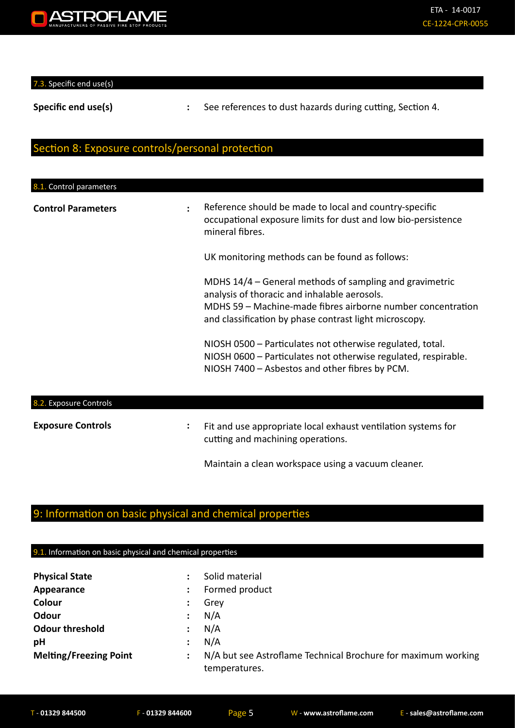

7.3. Specific end use(s)

**Specific end use(s) <b>:** See references to dust hazards during cutting, Section 4.

## Section 8: Exposure controls/personal protection

| 8.1. Control parameters   |                      |                                                                                                                                                                                                                                  |
|---------------------------|----------------------|----------------------------------------------------------------------------------------------------------------------------------------------------------------------------------------------------------------------------------|
| <b>Control Parameters</b> | $\ddot{\phantom{a}}$ | Reference should be made to local and country-specific<br>occupational exposure limits for dust and low bio-persistence<br>mineral fibres.                                                                                       |
|                           |                      | UK monitoring methods can be found as follows:                                                                                                                                                                                   |
|                           |                      | MDHS 14/4 – General methods of sampling and gravimetric<br>analysis of thoracic and inhalable aerosols.<br>MDHS 59 - Machine-made fibres airborne number concentration<br>and classification by phase contrast light microscopy. |
|                           |                      | NIOSH 0500 - Particulates not otherwise regulated, total.<br>NIOSH 0600 - Particulates not otherwise regulated, respirable.<br>NIOSH 7400 - Asbestos and other fibres by PCM.                                                    |
| 8.2. Exposure Controls    |                      |                                                                                                                                                                                                                                  |
| <b>Exposure Controls</b>  |                      | Fit and use appropriate local exhaust ventilation systems for<br>cutting and machining operations.                                                                                                                               |
|                           |                      | Maintain a clean workspace using a vacuum cleaner.                                                                                                                                                                               |

## 9: Information on basic physical and chemical properties

#### 9.1. Information on basic physical and chemical properties

| <b>Physical State</b>         |                      | Solid material                                                                 |
|-------------------------------|----------------------|--------------------------------------------------------------------------------|
| Appearance                    | $\ddot{\phantom{a}}$ | Formed product                                                                 |
| Colour                        | $\ddot{\phantom{a}}$ | Grey                                                                           |
| Odour                         | $\ddot{\cdot}$       | N/A                                                                            |
| <b>Odour threshold</b>        | $\mathbb{R}^n$       | N/A                                                                            |
| pH                            |                      | N/A                                                                            |
| <b>Melting/Freezing Point</b> |                      | N/A but see Astroflame Technical Brochure for maximum working<br>temperatures. |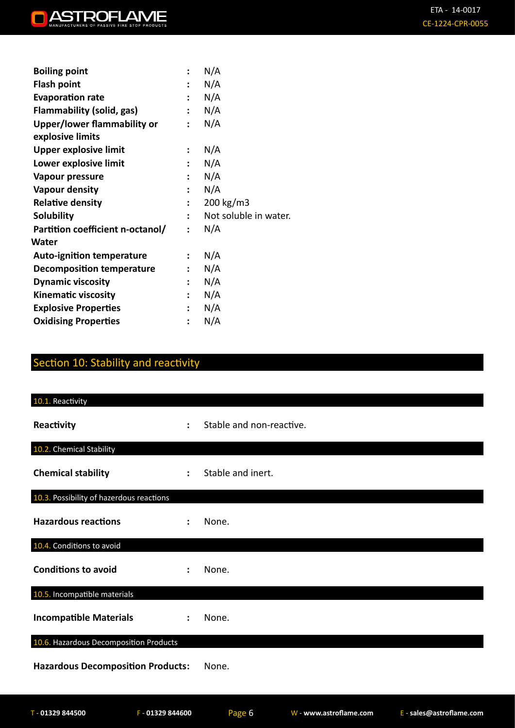| <b>Boiling point</b>               |                      | N/A                   |
|------------------------------------|----------------------|-----------------------|
| <b>Flash point</b>                 | $\ddot{\cdot}$       | N/A                   |
| <b>Evaporation rate</b>            | $\ddot{\phantom{a}}$ | N/A                   |
| Flammability (solid, gas)          | $\mathbf{L}$         | N/A                   |
| <b>Upper/lower flammability or</b> | $\ddot{\cdot}$       | N/A                   |
| explosive limits                   |                      |                       |
| <b>Upper explosive limit</b>       | :                    | N/A                   |
| Lower explosive limit              | ÷                    | N/A                   |
| Vapour pressure                    | $\ddot{\phantom{0}}$ | N/A                   |
| Vapour density                     |                      | N/A                   |
| <b>Relative density</b>            | $\ddot{\phantom{a}}$ | 200 kg/m3             |
| <b>Solubility</b>                  | $\ddot{\phantom{a}}$ | Not soluble in water. |
| Partition coefficient n-octanol/   | $\ddot{\cdot}$       | N/A                   |
| Water                              |                      |                       |
| <b>Auto-ignition temperature</b>   | $\ddot{\cdot}$       | N/A                   |
| <b>Decomposition temperature</b>   | $\ddot{\phantom{a}}$ | N/A                   |
| <b>Dynamic viscosity</b>           | $\ddot{\phantom{a}}$ | N/A                   |
| <b>Kinematic viscosity</b>         | $\ddot{\phantom{a}}$ | N/A                   |
| <b>Explosive Properties</b>        |                      | N/A                   |
| <b>Oxidising Properties</b>        | $\ddot{\phantom{a}}$ | N/A                   |
|                                    |                      |                       |

## Section 10: Stability and reactivity

| $\ddot{\phantom{a}}$                     | Stable and non-reactive. |  |
|------------------------------------------|--------------------------|--|
|                                          |                          |  |
| $\ddot{\phantom{a}}$                     | Stable and inert.        |  |
|                                          |                          |  |
|                                          | None.                    |  |
|                                          |                          |  |
|                                          | None.                    |  |
|                                          |                          |  |
| ÷                                        | None.                    |  |
| 10.6. Hazardous Decomposition Products   |                          |  |
| <b>Hazardous Decomposition Products:</b> | None.                    |  |
|                                          |                          |  |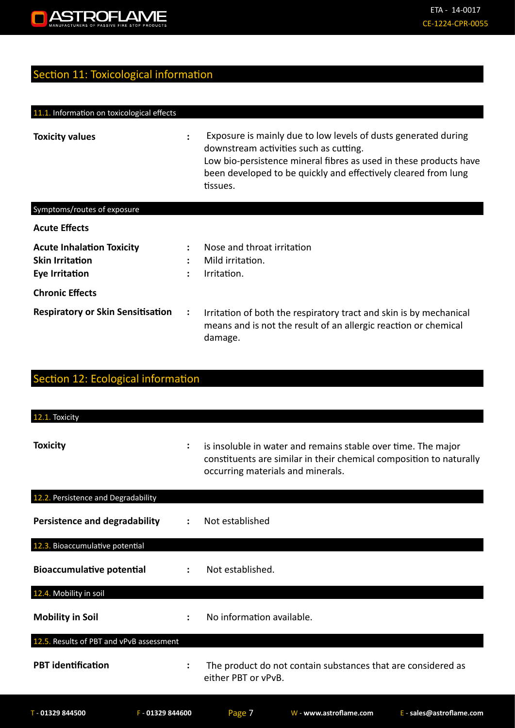

## Section 11: Toxicological information

| 11.1. Information on toxicological effects                                   |                                |                                                                                                                                                                                                                                                             |
|------------------------------------------------------------------------------|--------------------------------|-------------------------------------------------------------------------------------------------------------------------------------------------------------------------------------------------------------------------------------------------------------|
| <b>Toxicity values</b>                                                       |                                | Exposure is mainly due to low levels of dusts generated during<br>downstream activities such as cutting.<br>Low bio-persistence mineral fibres as used in these products have<br>been developed to be quickly and effectively cleared from lung<br>tissues. |
| Symptoms/routes of exposure                                                  |                                |                                                                                                                                                                                                                                                             |
| <b>Acute Effects</b>                                                         |                                |                                                                                                                                                                                                                                                             |
| <b>Acute Inhalation Toxicity</b><br><b>Skin Irritation</b><br>Eye Irritation | $\ddot{\phantom{a}}$<br>٠<br>٠ | Nose and throat irritation<br>Mild irritation.<br>Irritation.                                                                                                                                                                                               |
| <b>Chronic Effects</b>                                                       |                                |                                                                                                                                                                                                                                                             |
| <b>Respiratory or Skin Sensitisation</b>                                     | $\ddot{\cdot}$                 | Irritation of both the respiratory tract and skin is by mechanical<br>means and is not the result of an allergic reaction or chemical<br>damage.                                                                                                            |

| Section 12: Ecological information       |                      |                                                                                                                                                                           |
|------------------------------------------|----------------------|---------------------------------------------------------------------------------------------------------------------------------------------------------------------------|
| 12.1. Toxicity                           |                      |                                                                                                                                                                           |
| <b>Toxicity</b>                          |                      | is insoluble in water and remains stable over time. The major<br>constituents are similar in their chemical composition to naturally<br>occurring materials and minerals. |
| 12.2. Persistence and Degradability      |                      |                                                                                                                                                                           |
| <b>Persistence and degradability</b>     |                      | Not established                                                                                                                                                           |
| 12.3. Bioaccumulative potential          |                      |                                                                                                                                                                           |
| <b>Bioaccumulative potential</b>         |                      | Not established.                                                                                                                                                          |
| 12.4. Mobility in soil                   |                      |                                                                                                                                                                           |
| <b>Mobility in Soil</b>                  |                      | No information available.                                                                                                                                                 |
| 12.5. Results of PBT and vPvB assessment |                      |                                                                                                                                                                           |
| <b>PBT</b> identification                | $\ddot{\phantom{a}}$ | The product do not contain substances that are considered as<br>either PBT or vPvB.                                                                                       |
| $T - 01329844500$                        | F - 01329 844600     | Page 7<br>W - www.astroflame.com<br>$E - sales@astroflame.com$                                                                                                            |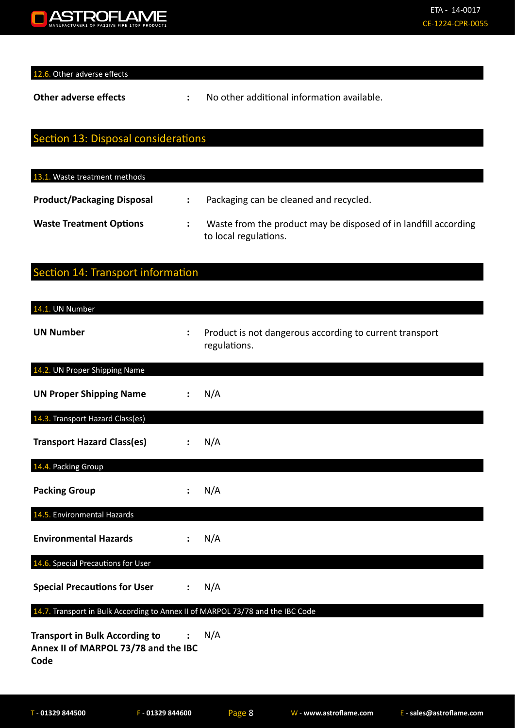

12.6. Other adverse effects

**Other adverse effects :** No other additional information available.

## Section 13: Disposal considerations

| 13.1. Waste treatment methods     |                                                                                          |
|-----------------------------------|------------------------------------------------------------------------------------------|
| <b>Product/Packaging Disposal</b> | Packaging can be cleaned and recycled.                                                   |
| <b>Waste Treatment Options</b>    | Waste from the product may be disposed of in landfill according<br>to local regulations. |

## Section 14: Transport information

| 14.1. UN Number                                                                       |                |                                                                         |
|---------------------------------------------------------------------------------------|----------------|-------------------------------------------------------------------------|
| <b>UN Number</b>                                                                      | $\ddot{\cdot}$ | Product is not dangerous according to current transport<br>regulations. |
| 14.2. UN Proper Shipping Name                                                         |                |                                                                         |
| <b>UN Proper Shipping Name</b>                                                        |                | N/A                                                                     |
| 14.3. Transport Hazard Class(es)                                                      |                |                                                                         |
| <b>Transport Hazard Class(es)</b>                                                     |                | N/A                                                                     |
| 14.4. Packing Group                                                                   |                |                                                                         |
| <b>Packing Group</b>                                                                  |                | N/A                                                                     |
| 14.5. Environmental Hazards                                                           |                |                                                                         |
| <b>Environmental Hazards</b>                                                          |                | N/A                                                                     |
| 14.6. Special Precautions for User                                                    |                |                                                                         |
| <b>Special Precautions for User</b>                                                   | $\ddot{\cdot}$ | N/A                                                                     |
| 14.7. Transport in Bulk According to Annex II of MARPOL 73/78 and the IBC Code        |                |                                                                         |
| <b>Transport in Bulk According to</b><br>Annex II of MARPOL 73/78 and the IBC<br>Code |                | N/A                                                                     |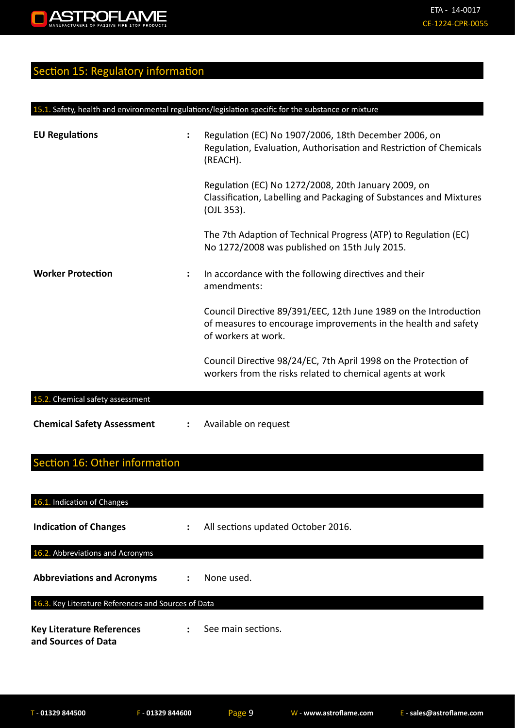## Section 15: Regulatory information

| <b>EU Regulations</b>             |   | Regulation (EC) No 1907/2006, 18th December 2006, on<br>Regulation, Evaluation, Authorisation and Restriction of Chemicals<br>(REACH).                    |
|-----------------------------------|---|-----------------------------------------------------------------------------------------------------------------------------------------------------------|
|                                   |   | Regulation (EC) No 1272/2008, 20th January 2009, on<br>Classification, Labelling and Packaging of Substances and Mixtures<br>(OJL 353).                   |
|                                   |   | The 7th Adaption of Technical Progress (ATP) to Regulation (EC)<br>No 1272/2008 was published on 15th July 2015.                                          |
| <b>Worker Protection</b>          | ÷ | In accordance with the following directives and their<br>amendments:                                                                                      |
|                                   |   | Council Directive 89/391/EEC, 12th June 1989 on the Introduction<br>of measures to encourage improvements in the health and safety<br>of workers at work. |
|                                   |   | Council Directive 98/24/EC, 7th April 1998 on the Protection of<br>workers from the risks related to chemical agents at work                              |
| 15.2. Chemical safety assessment  |   |                                                                                                                                                           |
| <b>Chemical Safety Assessment</b> |   | Available on request                                                                                                                                      |

15.1. Safety, health and environmental regulations/legislation specific for the substance or mixture

## Section 16: Other information

| 16.1. Indication of Changes                             |                      |                                    |  |
|---------------------------------------------------------|----------------------|------------------------------------|--|
| <b>Indication of Changes</b>                            | ÷                    | All sections updated October 2016. |  |
| 16.2. Abbreviations and Acronyms                        |                      |                                    |  |
| <b>Abbreviations and Acronyms</b>                       | $\ddot{\phantom{a}}$ | None used.                         |  |
| 16.3. Key Literature References and Sources of Data     |                      |                                    |  |
| <b>Key Literature References</b><br>and Sources of Data | $\ddot{\phantom{a}}$ | See main sections.                 |  |